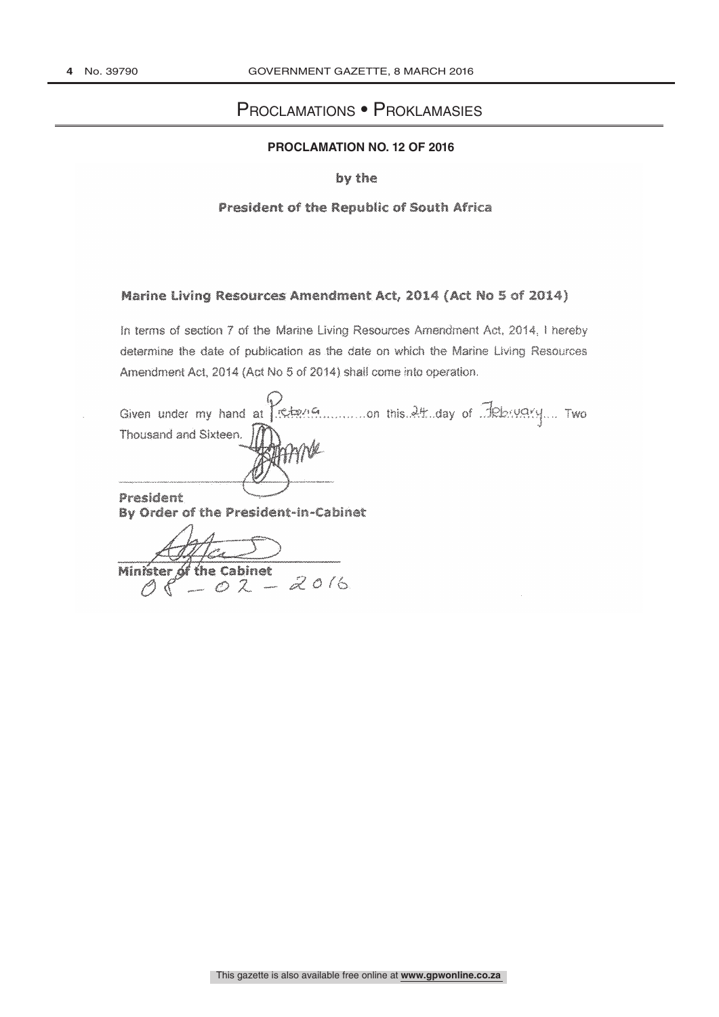# PROCLAMATIONS . PROKLAMASIES

# PROCLAMATION NO. 12 OF 2016

## by the

#### President of the Republic of South Africa

### Marine Living Resources Amendment Act, 2014 (Act No 5 of 2014)

In terms of section 7 of the Marine Living Resources Amendment Act, 2014, I hereby determine the date of publication as the date on which the Marine Living Resources Amendment Act, 2014 (Act No 5 of 2014) shall come into operation.

Thousand and Sixteen. President By Order of the President-in-Cabinet

Alter of the Cabinet of the Cabinet<br> $\hspace{0.1cm} \hspace{0.1cm} \hspace{0.1cm} \mathcal{A} \hspace{0.1cm} \mathcal{A} \hspace{0.1cm} \mathcal{O} \hspace{0.1cm} \hspace{0.1cm} \hspace{0.1cm} \hspace{0.1cm} \mathcal{A} \hspace{0.1cm} \mathcal{O} \hspace{0.1cm} \hspace{0.1cm} \hspace{0.1cm} \hspace{0.1cm} \hspace{0.1cm} \hspace{0.1cm} \hspace{0.1cm} \hspace{0.1cm} \mathcal{A} \hspace{0.1$